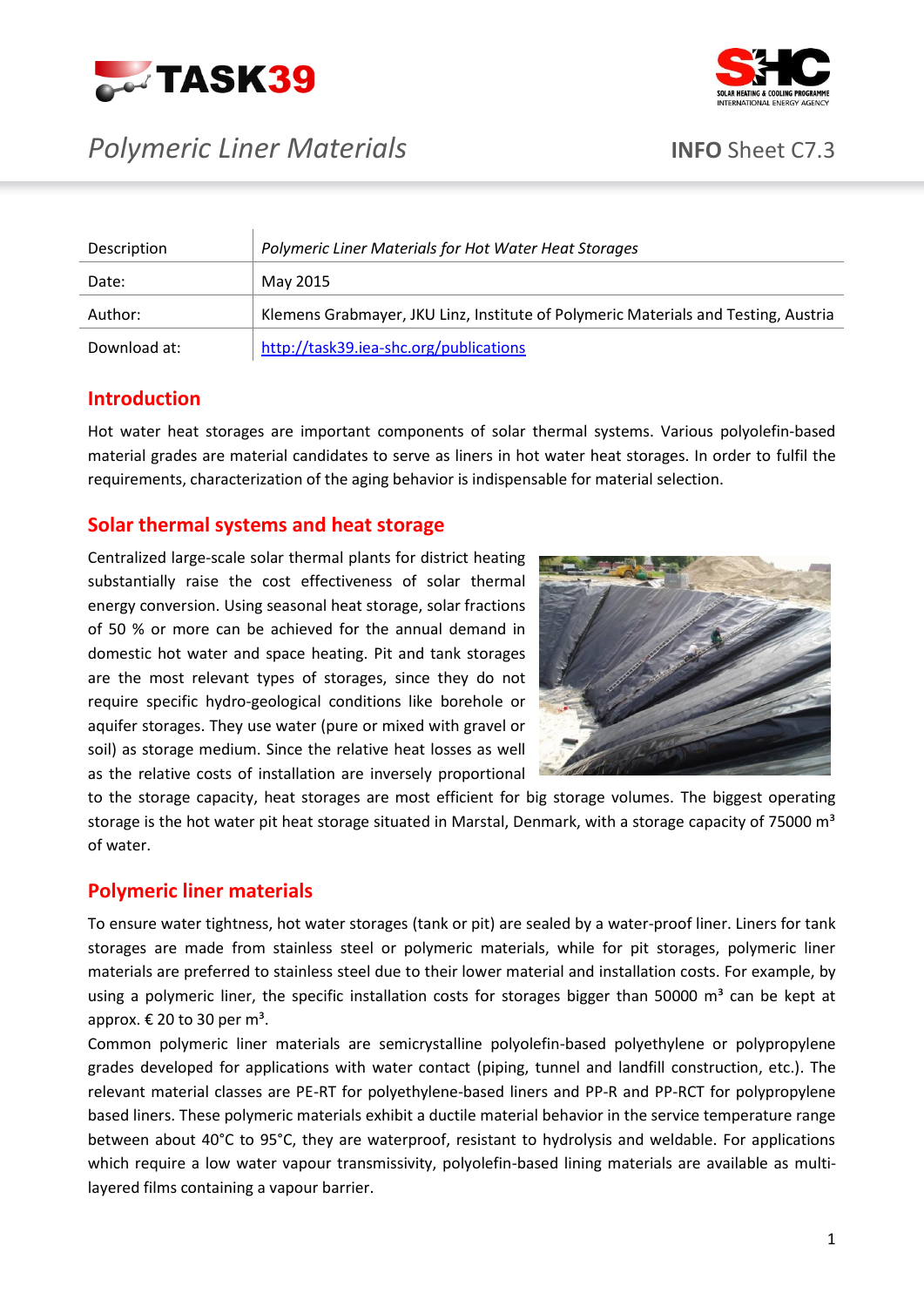





| Description  | Polymeric Liner Materials for Hot Water Heat Storages                              |
|--------------|------------------------------------------------------------------------------------|
| Date:        | May 2015                                                                           |
| Author:      | Klemens Grabmayer, JKU Linz, Institute of Polymeric Materials and Testing, Austria |
| Download at: | http://task39.iea-shc.org/publications                                             |

## **Introduction**

Hot water heat storages are important components of solar thermal systems. Various polyolefin-based material grades are material candidates to serve as liners in hot water heat storages. In order to fulfil the requirements, characterization of the aging behavior is indispensable for material selection.

## **Solar thermal systems and heat storage**

Centralized large-scale solar thermal plants for district heating substantially raise the cost effectiveness of solar thermal energy conversion. Using seasonal heat storage, solar fractions of 50 % or more can be achieved for the annual demand in domestic hot water and space heating. Pit and tank storages are the most relevant types of storages, since they do not require specific hydro-geological conditions like borehole or aquifer storages. They use water (pure or mixed with gravel or soil) as storage medium. Since the relative heat losses as well as the relative costs of installation are inversely proportional



to the storage capacity, heat storages are most efficient for big storage volumes. The biggest operating storage is the hot water pit heat storage situated in Marstal, Denmark, with a storage capacity of 75000 m<sup>3</sup> of water.

# **Polymeric liner materials**

To ensure water tightness, hot water storages (tank or pit) are sealed by a water-proof liner. Liners for tank storages are made from stainless steel or polymeric materials, while for pit storages, polymeric liner materials are preferred to stainless steel due to their lower material and installation costs. For example, by using a polymeric liner, the specific installation costs for storages bigger than 50000  $m<sup>3</sup>$  can be kept at approx.  $\epsilon$  20 to 30 per m<sup>3</sup>.

Common polymeric liner materials are semicrystalline polyolefin-based polyethylene or polypropylene grades developed for applications with water contact (piping, tunnel and landfill construction, etc.). The relevant material classes are PE-RT for polyethylene-based liners and PP-R and PP-RCT for polypropylene based liners. These polymeric materials exhibit a ductile material behavior in the service temperature range between about 40°C to 95°C, they are waterproof, resistant to hydrolysis and weldable. For applications which require a low water vapour transmissivity, polyolefin-based lining materials are available as multilayered films containing a vapour barrier.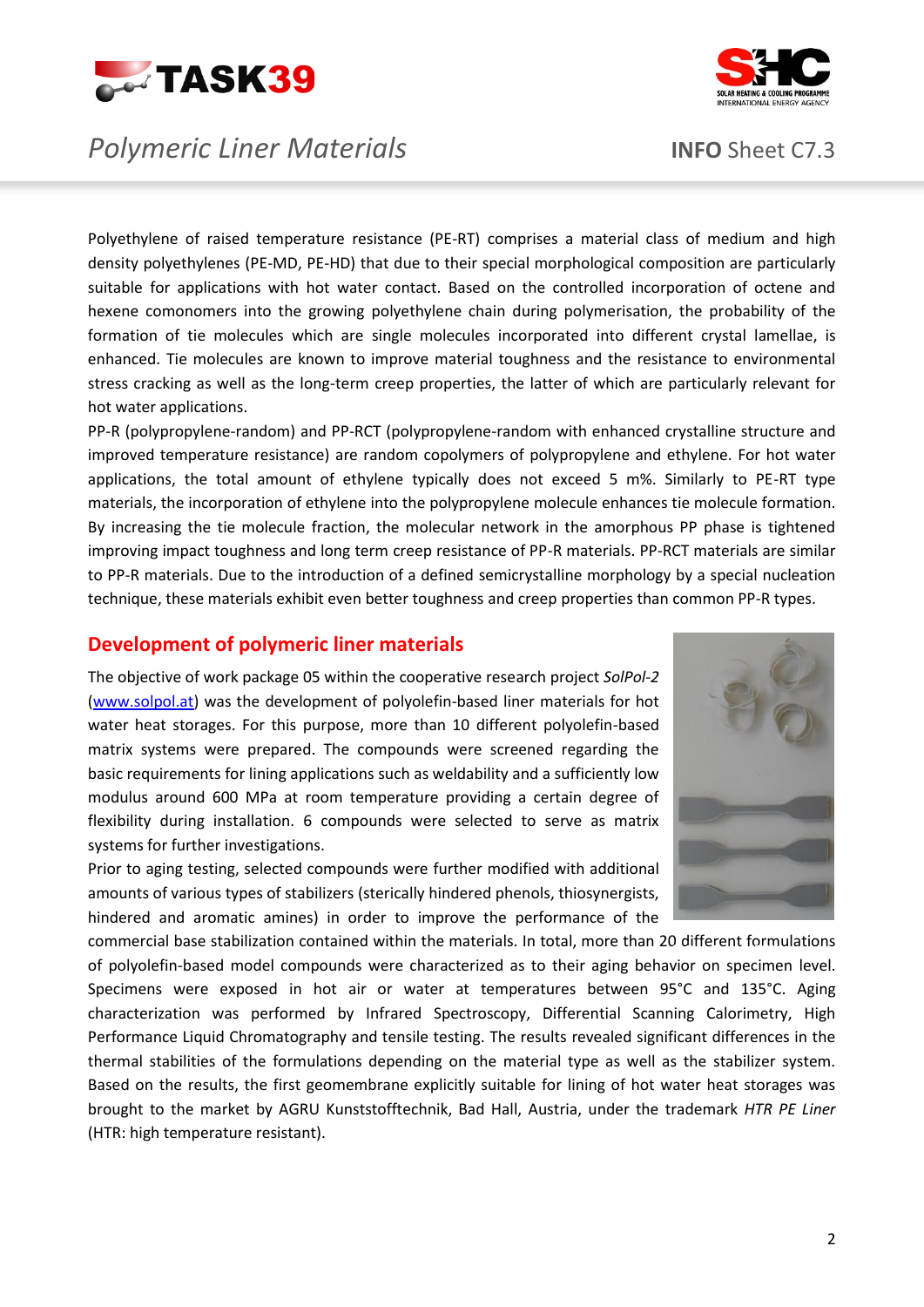





Polyethylene of raised temperature resistance (PE-RT) comprises a material class of medium and high density polyethylenes (PE-MD, PE-HD) that due to their special morphological composition are particularly suitable for applications with hot water contact. Based on the controlled incorporation of octene and hexene comonomers into the growing polyethylene chain during polymerisation, the probability of the formation of tie molecules which are single molecules incorporated into different crystal lamellae, is enhanced. Tie molecules are known to improve material toughness and the resistance to environmental stress cracking as well as the long-term creep properties, the latter of which are particularly relevant for hot water applications.

PP-R (polypropylene-random) and PP-RCT (polypropylene-random with enhanced crystalline structure and improved temperature resistance) are random copolymers of polypropylene and ethylene. For hot water applications, the total amount of ethylene typically does not exceed 5 m%. Similarly to PE-RT type materials, the incorporation of ethylene into the polypropylene molecule enhances tie molecule formation. By increasing the tie molecule fraction, the molecular network in the amorphous PP phase is tightened improving impact toughness and long term creep resistance of PP-R materials. PP-RCT materials are similar to PP-R materials. Due to the introduction of a defined semicrystalline morphology by a special nucleation technique, these materials exhibit even better toughness and creep properties than common PP-R types.

### **Development of polymeric liner materials**

The objective of work package 05 within the cooperative research project *SolPol-2* [\(www.solpol.at\)](http://www.solpol.at/) was the development of polyolefin-based liner materials for hot water heat storages. For this purpose, more than 10 different polyolefin-based matrix systems were prepared. The compounds were screened regarding the basic requirements for lining applications such as weldability and a sufficiently low modulus around 600 MPa at room temperature providing a certain degree of flexibility during installation. 6 compounds were selected to serve as matrix systems for further investigations.

Prior to aging testing, selected compounds were further modified with additional amounts of various types of stabilizers (sterically hindered phenols, thiosynergists, hindered and aromatic amines) in order to improve the performance of the



commercial base stabilization contained within the materials. In total, more than 20 different formulations of polyolefin-based model compounds were characterized as to their aging behavior on specimen level. Specimens were exposed in hot air or water at temperatures between 95°C and 135°C. Aging characterization was performed by Infrared Spectroscopy, Differential Scanning Calorimetry, High Performance Liquid Chromatography and tensile testing. The results revealed significant differences in the thermal stabilities of the formulations depending on the material type as well as the stabilizer system. Based on the results, the first geomembrane explicitly suitable for lining of hot water heat storages was brought to the market by AGRU Kunststofftechnik, Bad Hall, Austria, under the trademark *HTR PE Liner*  (HTR: high temperature resistant).